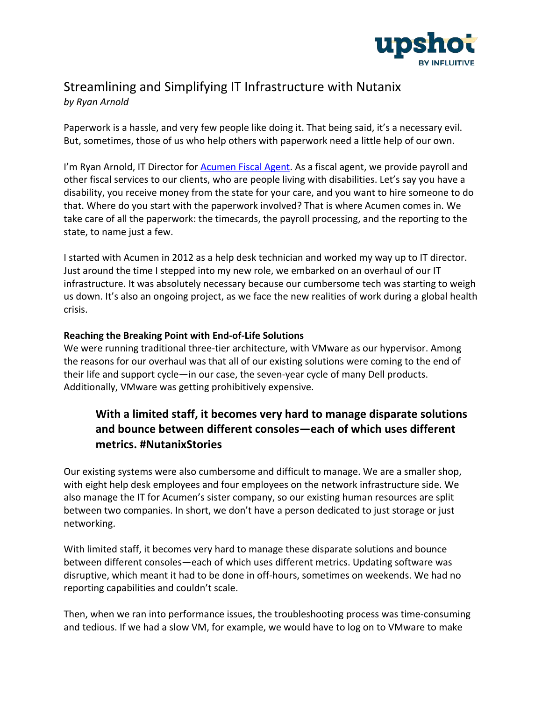

# Streamlining and Simplifying IT Infrastructure with Nutanix

*by Ryan Arnold*

Paperwork is a hassle, and very few people like doing it. That being said, it's a necessary evil. But, sometimes, those of us who help others with paperwork need a little help of our own.

I'm Ryan Arnold, IT Director for Acumen Fiscal Agent. As a fiscal agent, we provide payroll and other fiscal services to our clients, who are people living with disabilities. Let's say you have a disability, you receive money from the state for your care, and you want to hire someone to do that. Where do you start with the paperwork involved? That is where Acumen comes in. We take care of all the paperwork: the timecards, the payroll processing, and the reporting to the state, to name just a few.

I started with Acumen in 2012 as a help desk technician and worked my way up to IT director. Just around the time I stepped into my new role, we embarked on an overhaul of our IT infrastructure. It was absolutely necessary because our cumbersome tech was starting to weigh us down. It's also an ongoing project, as we face the new realities of work during a global health crisis.

### **Reaching the Breaking Point with End-of-Life Solutions**

We were running traditional three-tier architecture, with VMware as our hypervisor. Among the reasons for our overhaul was that all of our existing solutions were coming to the end of their life and support cycle—in our case, the seven-year cycle of many Dell products. Additionally, VMware was getting prohibitively expensive.

## **With a limited staff, it becomes very hard to manage disparate solutions and bounce between different consoles—each of which uses different metrics. #NutanixStories**

Our existing systems were also cumbersome and difficult to manage. We are a smaller shop, with eight help desk employees and four employees on the network infrastructure side. We also manage the IT for Acumen's sister company, so our existing human resources are split between two companies. In short, we don't have a person dedicated to just storage or just networking.

With limited staff, it becomes very hard to manage these disparate solutions and bounce between different consoles—each of which uses different metrics. Updating software was disruptive, which meant it had to be done in off-hours, sometimes on weekends. We had no reporting capabilities and couldn't scale.

Then, when we ran into performance issues, the troubleshooting process was time-consuming and tedious. If we had a slow VM, for example, we would have to log on to VMware to make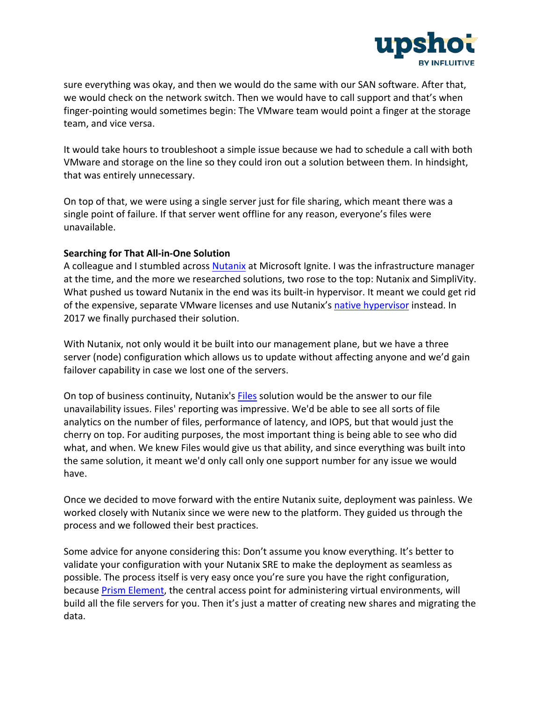

sure everything was okay, and then we would do the same with our SAN software. After that, we would check on the network switch. Then we would have to call support and that's when finger-pointing would sometimes begin: The VMware team would point a finger at the storage team, and vice versa.

It would take hours to troubleshoot a simple issue because we had to schedule a call with both VMware and storage on the line so they could iron out a solution between them. In hindsight, that was entirely unnecessary.

On top of that, we were using a single server just for file sharing, which meant there was a single point of failure. If that server went offline for any reason, everyone's files were unavailable.

### **Searching for That All-in-One Solution**

A colleague and I stumbled across Nutanix at Microsoft Ignite. I was the infrastructure manager at the time, and the more we researched solutions, two rose to the top: Nutanix and SimpliVity. What pushed us toward Nutanix in the end was its built-in hypervisor. It meant we could get rid of the expensive, separate VMware licenses and use Nutanix's native hypervisor instead. In 2017 we finally purchased their solution.

With Nutanix, not only would it be built into our management plane, but we have a three server (node) configuration which allows us to update without affecting anyone and we'd gain failover capability in case we lost one of the servers.

On top of business continuity, Nutanix's Files solution would be the answer to our file unavailability issues. Files' reporting was impressive. We'd be able to see all sorts of file analytics on the number of files, performance of latency, and IOPS, but that would just the cherry on top. For auditing purposes, the most important thing is being able to see who did what, and when. We knew Files would give us that ability, and since everything was built into the same solution, it meant we'd only call only one support number for any issue we would have.

Once we decided to move forward with the entire Nutanix suite, deployment was painless. We worked closely with Nutanix since we were new to the platform. They guided us through the process and we followed their best practices.

Some advice for anyone considering this: Don't assume you know everything. It's better to validate your configuration with your Nutanix SRE to make the deployment as seamless as possible. The process itself is very easy once you're sure you have the right configuration, because Prism Element, the central access point for administering virtual environments, will build all the file servers for you. Then it's just a matter of creating new shares and migrating the data.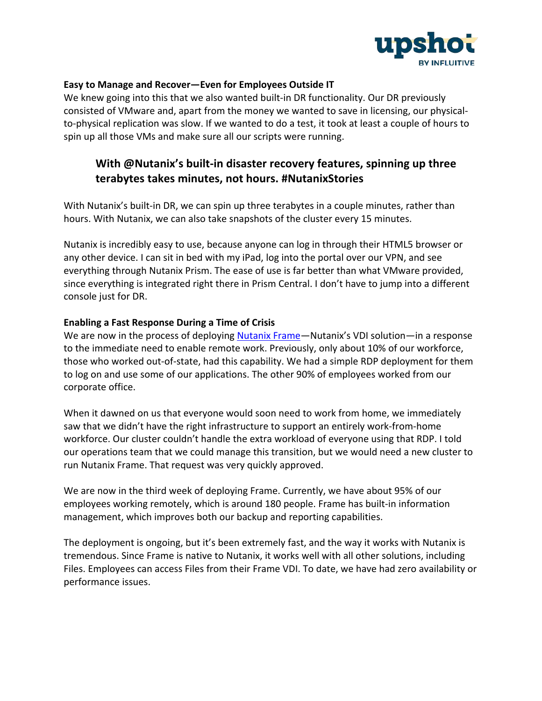

### **Easy to Manage and Recover—Even for Employees Outside IT**

We knew going into this that we also wanted built-in DR functionality. Our DR previously consisted of VMware and, apart from the money we wanted to save in licensing, our physicalto-physical replication was slow. If we wanted to do a test, it took at least a couple of hours to spin up all those VMs and make sure all our scripts were running.

### **With @Nutanix's built-in disaster recovery features, spinning up three terabytes takes minutes, not hours. #NutanixStories**

With Nutanix's built-in DR, we can spin up three terabytes in a couple minutes, rather than hours. With Nutanix, we can also take snapshots of the cluster every 15 minutes.

Nutanix is incredibly easy to use, because anyone can log in through their HTML5 browser or any other device. I can sit in bed with my iPad, log into the portal over our VPN, and see everything through Nutanix Prism. The ease of use is far better than what VMware provided, since everything is integrated right there in Prism Central. I don't have to jump into a different console just for DR.

#### **Enabling a Fast Response During a Time of Crisis**

We are now in the process of deploying Nutanix Frame—Nutanix's VDI solution—in a response to the immediate need to enable remote work. Previously, only about 10% of our workforce, those who worked out-of-state, had this capability. We had a simple RDP deployment for them to log on and use some of our applications. The other 90% of employees worked from our corporate office.

When it dawned on us that everyone would soon need to work from home, we immediately saw that we didn't have the right infrastructure to support an entirely work-from-home workforce. Our cluster couldn't handle the extra workload of everyone using that RDP. I told our operations team that we could manage this transition, but we would need a new cluster to run Nutanix Frame. That request was very quickly approved.

We are now in the third week of deploying Frame. Currently, we have about 95% of our employees working remotely, which is around 180 people. Frame has built-in information management, which improves both our backup and reporting capabilities.

The deployment is ongoing, but it's been extremely fast, and the way it works with Nutanix is tremendous. Since Frame is native to Nutanix, it works well with all other solutions, including Files. Employees can access Files from their Frame VDI. To date, we have had zero availability or performance issues.